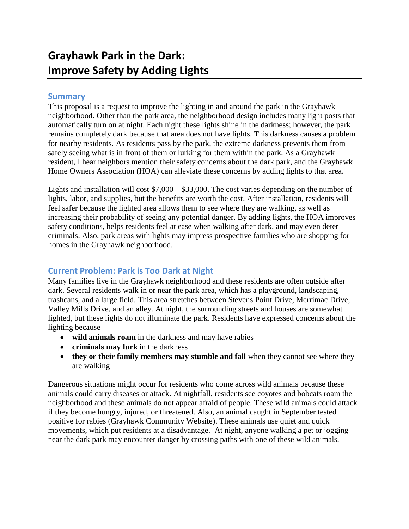## **Summary**

This proposal is a request to improve the lighting in and around the park in the Grayhawk neighborhood. Other than the park area, the neighborhood design includes many light posts that automatically turn on at night. Each night these lights shine in the darkness; however, the park remains completely dark because that area does not have lights. This darkness causes a problem for nearby residents. As residents pass by the park, the extreme darkness prevents them from safely seeing what is in front of them or lurking for them within the park. As a Grayhawk resident, I hear neighbors mention their safety concerns about the dark park, and the Grayhawk Home Owners Association (HOA) can alleviate these concerns by adding lights to that area.

Lights and installation will cost \$7,000 – \$33,000. The cost varies depending on the number of lights, labor, and supplies, but the benefits are worth the cost. After installation, residents will feel safer because the lighted area allows them to see where they are walking, as well as increasing their probability of seeing any potential danger. By adding lights, the HOA improves safety conditions, helps residents feel at ease when walking after dark, and may even deter criminals. Also, park areas with lights may impress prospective families who are shopping for homes in the Grayhawk neighborhood.

# **Current Problem: Park is Too Dark at Night**

Many families live in the Grayhawk neighborhood and these residents are often outside after dark. Several residents walk in or near the park area, which has a playground, landscaping, trashcans, and a large field. This area stretches between Stevens Point Drive, Merrimac Drive, Valley Mills Drive, and an alley. At night, the surrounding streets and houses are somewhat lighted, but these lights do not illuminate the park. Residents have expressed concerns about the lighting because

- **wild animals roam** in the darkness and may have rabies
- **• criminals may lurk** in the darkness
- they or their family members may stumble and fall when they cannot see where they are walking

Dangerous situations might occur for residents who come across wild animals because these animals could carry diseases or attack. At nightfall, residents see coyotes and bobcats roam the neighborhood and these animals do not appear afraid of people. These wild animals could attack if they become hungry, injured, or threatened. Also, an animal caught in September tested positive for rabies (Grayhawk Community Website). These animals use quiet and quick movements, which put residents at a disadvantage. At night, anyone walking a pet or jogging near the dark park may encounter danger by crossing paths with one of these wild animals.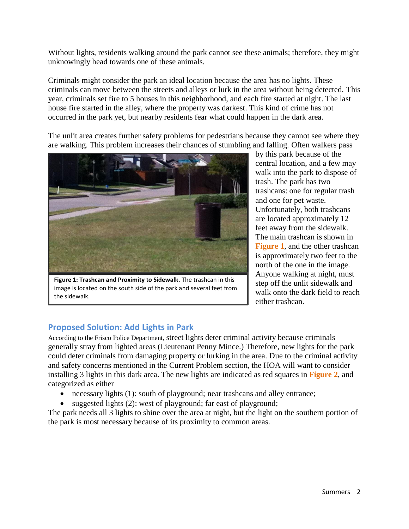Without lights, residents walking around the park cannot see these animals; therefore, they might unknowingly head towards one of these animals.

Criminals might consider the park an ideal location because the area has no lights. These criminals can move between the streets and alleys or lurk in the area without being detected. This year, criminals set fire to 5 houses in this neighborhood, and each fire started at night. The last house fire started in the alley, where the property was darkest. This kind of crime has not occurred in the park yet, but nearby residents fear what could happen in the dark area.

The unlit area creates further safety problems for pedestrians because they cannot see where they are walking. This problem increases their chances of stumbling and falling. Often walkers pass



**Figure 1: Trashcan and Proximity to Sidewalk.** The trashcan in this image is located on the south side of the park and several feet from the sidewalk.

by this park because of the central location, and a few may walk into the park to dispose of trash. The park has two trashcans: one for regular trash and one for pet waste. Unfortunately, both trashcans are located approximately 12 feet away from the sidewalk. The main trashcan is shown in **Figure 1**, and the other trashcan is approximately two feet to the north of the one in the image. Anyone walking at night, must step off the unlit sidewalk and walk onto the dark field to reach either trashcan.

# **Proposed Solution: Add Lights in Park**

According to the Frisco Police Department, street lights deter criminal activity because criminals generally stray from lighted areas (Lieutenant Penny Mince.) Therefore, new lights for the park could deter criminals from damaging property or lurking in the area. Due to the criminal activity and safety concerns mentioned in the Current Problem section, the HOA will want to consider installing 3 lights in this dark area. The new lights are indicated as red squares in **Figure 2**, and categorized as either

- necessary lights (1): south of playground; near trashcans and alley entrance;
- suggested lights (2): west of playground; far east of playground;

The park needs all 3 lights to shine over the area at night, but the light on the southern portion of the park is most necessary because of its proximity to common areas.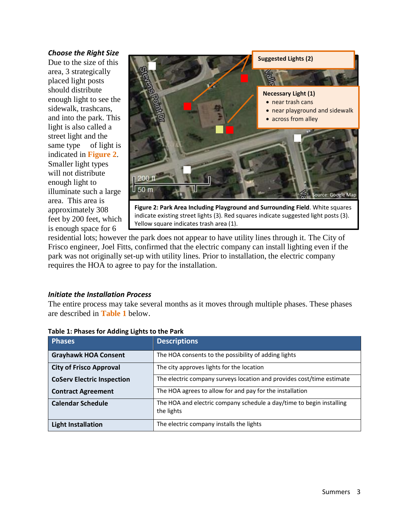#### *Choose the Right Size*

Due to the size of this area, 3 strategically placed light posts should distribute enough light to see the sidewalk, trashcans, and into the park. This light is also called a street light and the same type of light is indicated in **Figure 2**. Smaller light types will not distribute enough light to illuminate such a large area. This area is approximately 308 feet by 200 feet, which is enough space for 6



indicate existing street lights (3). Red squares indicate suggested light posts (3). Yellow square indicates trash area (1).

residential lots; however the park does not appear to have utility lines through it. The City of Frisco engineer, Joel Fitts, confirmed that the electric company can install lighting even if the park was not originally set-up with utility lines. Prior to installation, the electric company requires the HOA to agree to pay for the installation.

## *Initiate the Installation Process*

The entire process may take several months as it moves through multiple phases. These phases are described in **Table 1** below.

| <b>Phases</b>                     | <b>Descriptions</b>                                                                |  |
|-----------------------------------|------------------------------------------------------------------------------------|--|
| <b>Grayhawk HOA Consent</b>       | The HOA consents to the possibility of adding lights                               |  |
| <b>City of Frisco Approval</b>    | The city approves lights for the location                                          |  |
| <b>CoServ Electric Inspection</b> | The electric company surveys location and provides cost/time estimate              |  |
| <b>Contract Agreement</b>         | The HOA agrees to allow for and pay for the installation                           |  |
| <b>Calendar Schedule</b>          | The HOA and electric company schedule a day/time to begin installing<br>the lights |  |
| <b>Light Installation</b>         | The electric company installs the lights                                           |  |

|  | Table 1: Phases for Adding Lights to the Park |
|--|-----------------------------------------------|
|--|-----------------------------------------------|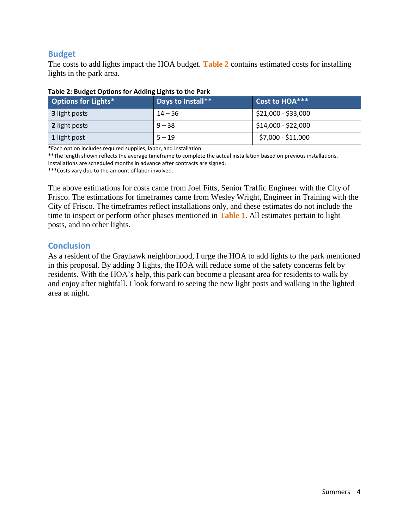# **Budget**

The costs to add lights impact the HOA budget. **Table 2** contains estimated costs for installing lights in the park area.

| <b>Options for Lights*</b> | Days to Install** | Cost to HOA***                    |
|----------------------------|-------------------|-----------------------------------|
| <b>3</b> light posts       | $14 - 56$         | \$21,000 - \$33,000               |
| 2 light posts              | $9 - 38$          | $\frac{1}{2}$ \$14,000 - \$22,000 |
| 1 light post               | $5 - 19$          | \$7,000 - \$11,000                |

### **Table 2: Budget Options for Adding Lights to the Park**

\*Each option includes required supplies, labor, and installation.

\*\*The length shown reflects the average timeframe to complete the actual installation based on previous installations. Installations are scheduled months in advance after contracts are signed.

\*\*\*Costs vary due to the amount of labor involved.

The above estimations for costs came from Joel Fitts, Senior Traffic Engineer with the City of Frisco. The estimations for timeframes came from Wesley Wright, Engineer in Training with the City of Frisco. The timeframes reflect installations only, and these estimates do not include the time to inspect or perform other phases mentioned in **Table 1**. All estimates pertain to light posts, and no other lights.

## **Conclusion**

As a resident of the Grayhawk neighborhood, I urge the HOA to add lights to the park mentioned in this proposal. By adding 3 lights, the HOA will reduce some of the safety concerns felt by residents. With the HOA's help, this park can become a pleasant area for residents to walk by and enjoy after nightfall. I look forward to seeing the new light posts and walking in the lighted area at night.